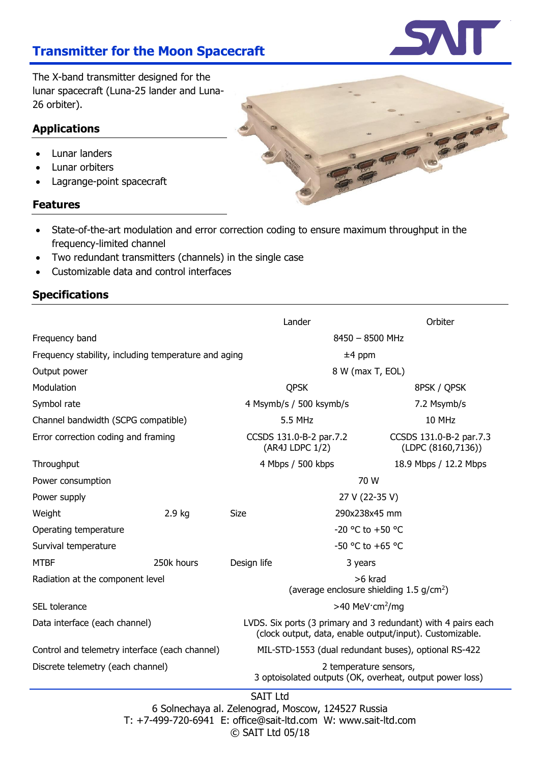Lander Orbiter

# **Transmitter for the Moon Spacecraft**

The X-band transmitter designed for the lunar spacecraft (Luna-25 lander and Luna-26 orbiter).

## **Applications**

- Lunar landers
- Lunar orbiters
- Lagrange-point spacecraft

### **Features**

- State-of-the-art modulation and error correction coding to ensure maximum throughput in the frequency-limited channel
- Two redundant transmitters (channels) in the single case
- Customizable data and control interfaces

# **Specifications**



6 Solnechaya al. Zelenograd, Moscow, 124527 Russia T: +7-499-720-6941 E: office@sait-ltd.com W: www.sait-ltd.com © SAIT Ltd 05/18